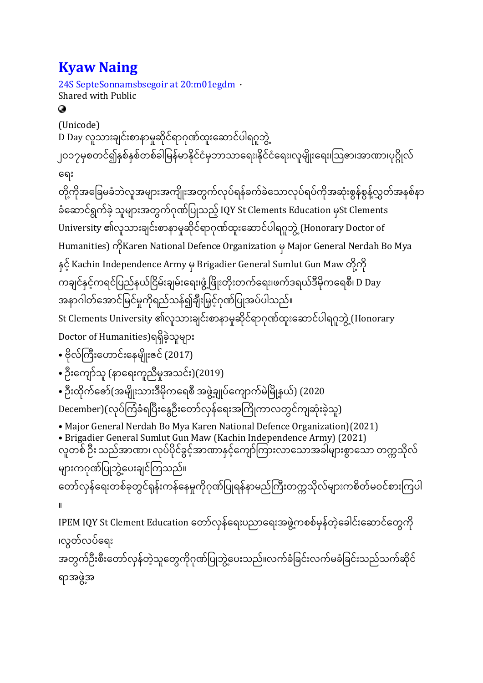# **Kyaw [Naing](https://www.facebook.com/profile.php?id=100070565614277&__cft__%5b0%5d=AZWLQq9vxWl5LHjecCSjhojO8asaMS4rW2i6qf9kN3_-7zKNQFdR0UynOBzRWU9S46SXybhQ5PrD-9V56unRIjz_70x7yRuwAzzRhFTqrnZSzWeUzKOQcm4OWwysOAoCRxU&__tn__=-UC%2CP-R)**

24S [SepteSonnamsbsegoir](https://www.facebook.com/permalink.php?story_fbid=132658192429701&id=100070565614277¬if_id=1632478146240899¬if_t=feedback_reaction_generic&ref=notif) at 20:m01egdm · Shared with Public Ø (Unicode) D Day လူသားချင်းစာနာမှုဆိုင်ရာဂုဏ်ထူးဆောင်ပါရဂူဘွဲ့ ၂၀၁၇မှစတင်၍နှစ်နှစ်တစ်ခါမြန်မာနိုင်ငံမှဘာသာရေး၊နိုင်ငံရေး၊လူမျိုးရေး၊ဩဇာ၊အာဏာ၊ပုဂ္ဂိုလ် ဆရား တို့ကိုအခြေမခံဘဲလူအများအကျိုးအတွက်လုပ်ရန်ခက်ခဲသောလုပ်ရပ်ကိုအဆုံးစွန်စွန့်လွှတ်အနစ်နာ ို ို  $\ddot{\phantom{a}}$  $\overline{\phantom{a}}$ ို ို ခံဆောင်ရွက်ခဲ့ သူများအတွက်ဂုဏ်ပြုသည့် IQY St Clements Education မှSt Clements University ၏လူသားချင်းစာနာမှုဆိုင်ရာဂုဏ်ထူးဆောင်ပါရဂူဘွဲ့ (Honorary Doctor of Humanities) ကိုKaren National Defence Organization မှ Major General Nerdah Bo Mya နှင့် Kachin Independence Army မှ Brigadier General Sumlut Gun Maw တို့ကို  $\ddot{\phantom{0}}$ ို ကချင်နှင့်ကရင်ပြည်နယ်ငြိမ်းချမ်းရေး၊ဖွံ့ဖြိုးတိုးတက်ရေး၊ဖက်ဒရယ်ဒီမိုကရေစီ၊ D Day ှ အနာဂါတ်အောင်မြင်မှုကိုရည်သန်၍ချီးမြှင့်ဂုဏ်ပြုအပ်ပါသည်။ St Clements University ၏လူသားချင်းစာနာမှုဆိုင်ရာဂုဏ်ထူးဆောင်ပါရဂူဘွဲ့ (Honorary Doctor of Humanities)ရရှိခဲ့သူများ • ဗိုလ်ကြီးဟောင်းနေမျိုးဇင် (2017) • ဦးကျော်သူ (နာရေးကူညီမှုအသင်း)(2019) • ဦးထိုက်ဇော်(အမျိုးသားဒီမိုကရေစီ အဖွဲ့ချုပ်ကျောက်မဲမြို့နယ်) (2020 December)(လုပ်ကြံခံရပြီးနွေဦးတော်လှန်ရေးအကြိုကာလတွင်ကျဆုံးခဲ့သူ)  $\ddot{\phantom{a}}$ ို • Major General Nerdah Bo Mya Karen National Defence Organization)(2021) • Brigadier General Sumlut Gun Maw (Kachin Independence Army) (2021) လူတစ် ဦး သည်အာဏာ၊ လုပ်ပိုင်ခွင့်အာဏာနှင့်ကျော်ကြားလာသောအခါများစွာသော တက္ကသိုလ် '  $\ddot{\phantom{a}}$  $\overline{\phantom{a}}$  $\overline{\phantom{a}}$ များကဂုဏ်ပြုဘွဲ့ပေးချင်ကြသည်။ ထော်လှန်ရေးတစ်ခုတွင်ရုန်းကန်နေမှုကိုဂုဏ်ပြုရန်နာမည်ကြီးတက္ကသိုလ်များကစိတ်မဝင်စားကြပါ ။ IPEM IQY St Clement Education တော်လှန်ရေးပညာရေးအဖွဲ့ကစစ်မှန်တဲ့ခေါင်းဆောင်တွေကို ၊လွတ်လပ်ရေး အတွက်ဦးစီးတော်လှန်တဲ့သူတွေကိုဂုဏ်ပြုဘွဲ့ပေးသည်။လက်ခံခြင်းလက်မခံခြင်းသည်သက်ဆိုင် ရာအဖွဲ့အ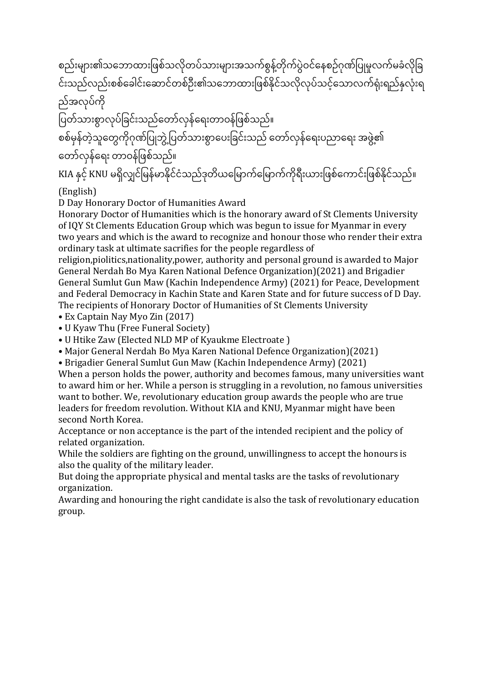စည်းများ၏သဘောထားဖြစ်သလိုတပ်သားများအသက်စွန့်တိုက်ပွဲဝင်နေစဉ်ဂုဏ်ပြုမှုလက်မခံလိုခြ  $\overline{a}$ င်းသည်လည်းစစ်ခေါင်းဆောင်တစ်ဦး၏သဘောထားဖြစ်နိုင်သလိုလုပ်သင့်သောလက်ရုံးရည်နှလုံးရ ို  $\overline{\phantom{a}}$  $\overline{\phantom{a}}$ ည်အလုပ်ကို

—<br>ပြတ်သားစွာလုပ်ခြင်းသည်တော်လှန်ရေးတာဝန်ဖြစ်သည်။ စစ်မှန်တဲ့သူတွေကိုဂုဏ်ပြုဘွဲ့ ပြတ်သားစွာပေးခြင်းသည် တော်လှန်ရေးပညာရေး အဖွဲ့၏ တော်လှန်ရေး တာဝန်ဖြစ်သည်။

KIA နှင့် KNU မရှိလျှင်မြန်မာနိုင်ငံသည်ဒုတိယမြောက်မြောက်ကိုရီးယားဖြစ်ကောင်းဖြစ်နိုင်သည်။ (English)

D Day Honorary Doctor of Humanities Award

Honorary Doctor of Humanities which is the honorary award of St Clements University of IQY St Clements Education Group which was begun to issue for Myanmar in every two years and which is the award to recognize and honour those who render their extra ordinary task at ultimate sacrifies for the people regardless of

religion,piolitics,nationality,power, authority and personal ground is awarded to Major General Nerdah Bo Mya Karen National Defence Organization)(2021) and Brigadier General Sumlut Gun Maw (Kachin Independence Army) (2021) for Peace, Development and Federal Democracy in Kachin State and Karen State and for future success of D Day. The recipients of Honorary Doctor of Humanities of St Clements University

• Ex Captain Nay Myo Zin (2017)

• U Kyaw Thu (Free Funeral Society)

• U Htike Zaw (Elected NLD MP of Kyaukme Electroate )

• Major General Nerdah Bo Mya Karen National Defence Organization)(2021)

• Brigadier General Sumlut Gun Maw (Kachin Independence Army) (2021)

When a person holds the power, authority and becomes famous, many universities want to award him or her. While a person is struggling in a revolution, no famous universities want to bother. We, revolutionary education group awards the people who are true leaders for freedom revolution. Without KIA and KNU, Myanmar might have been second North Korea.

Acceptance or non acceptance is the part of the intended recipient and the policy of related organization.

While the soldiers are fighting on the ground, unwillingness to accept the honours is also the quality of the military leader.

But doing the appropriate physical and mental tasks are the tasks of revolutionary organization.

Awarding and honouring the right candidate is also the task of revolutionary education group.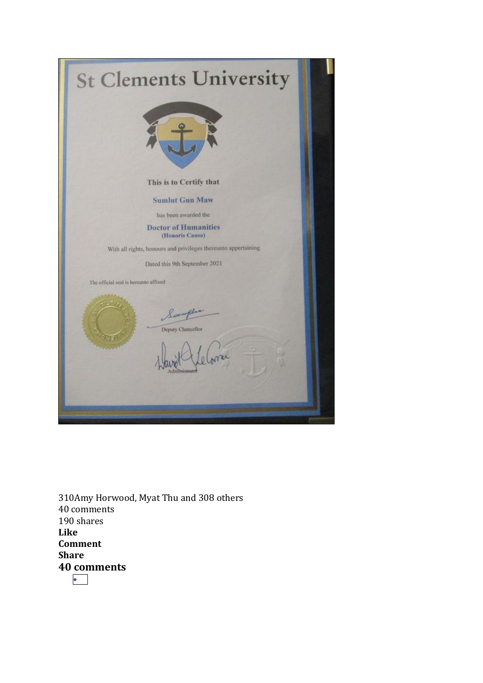| <b>St Clements University</b>                                  |  |
|----------------------------------------------------------------|--|
|                                                                |  |
| This is to Certify that                                        |  |
| <b>Sumlut Gun Maw</b>                                          |  |
| has been awarded the                                           |  |
| <b>Doctor of Humanities</b><br>(Honoris Causa)                 |  |
| With all rights, honours and privileges thereunto appertaining |  |
| Dated this 9th September 2021                                  |  |
| The official seal is bereunto affixed                          |  |
| Sauplin<br>Deputy Chancellor<br>dinimistrate                   |  |

310Amy Horwood, Myat Thu and 308 others 40 comments 190 shares **Like Comment Share 40 comments** •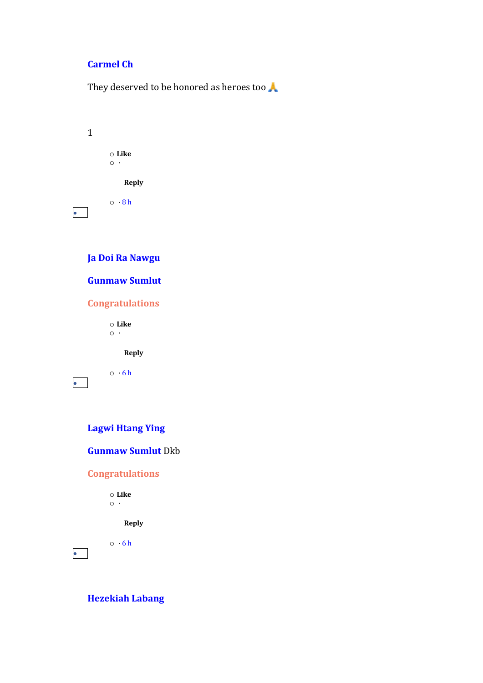# **[Carmel](https://www.facebook.com/profile.php?id=100005385732409&comment_id=Y29tbWVudDoxMzI2NTgxOTI0Mjk3MDFfMTMzMjc4NzI5MDM0MzE0&__cft__%5b0%5d=AZWLQq9vxWl5LHjecCSjhojO8asaMS4rW2i6qf9kN3_-7zKNQFdR0UynOBzRWU9S46SXybhQ5PrD-9V56unRIjz_70x7yRuwAzzRhFTqrnZSzWeUzKOQcm4OWwysOAoCRxU&__tn__=R%5d-R) Ch**

They deserved to be honored as heroes too

| 1 |                               |  |  |
|---|-------------------------------|--|--|
|   | $\circ$ Like<br>$\circ \cdot$ |  |  |
|   | <b>Reply</b>                  |  |  |
|   | $\circ$ $\cdot$ 8 h           |  |  |
|   | Ja Doi Ra Nawgu               |  |  |
|   | <b>Gunmaw Sumlut</b>          |  |  |
|   | <b>Congratulations</b>        |  |  |

o **Like**  $\circ$  ·

**Reply**

 $\circ$   $\cdot$  [6](https://www.facebook.com/permalink.php?story_fbid=132658192429701&id=100070565614277&comment_id=133298399032347&__cft__%5b0%5d=AZWLQq9vxWl5LHjecCSjhojO8asaMS4rW2i6qf9kN3_-7zKNQFdR0UynOBzRWU9S46SXybhQ5PrD-9V56unRIjz_70x7yRuwAzzRhFTqrnZSzWeUzKOQcm4OWwysOAoCRxU&__tn__=R%5d-R) h

•

•

# **Lagwi [Htang](https://www.facebook.com/lagwi.htangying?comment_id=Y29tbWVudDoxMzI2NTgxOTI0Mjk3MDFfMTMzMzAwMTUyMzY1NTA1&__cft__%5b0%5d=AZWLQq9vxWl5LHjecCSjhojO8asaMS4rW2i6qf9kN3_-7zKNQFdR0UynOBzRWU9S46SXybhQ5PrD-9V56unRIjz_70x7yRuwAzzRhFTqrnZSzWeUzKOQcm4OWwysOAoCRxU&__tn__=R%5d-R) Ying**

### **[Gunmaw](https://www.facebook.com/gunmaw.sumlut.1?__cft__%5b0%5d=AZWLQq9vxWl5LHjecCSjhojO8asaMS4rW2i6qf9kN3_-7zKNQFdR0UynOBzRWU9S46SXybhQ5PrD-9V56unRIjz_70x7yRuwAzzRhFTqrnZSzWeUzKOQcm4OWwysOAoCRxU&__tn__=R%5d-R) Sumlut** Dkb

#### **Congratulations**

o **Like**  $\circ \cdot$ 

**Reply**

 $\circ$   $\cdot$  [6](https://www.facebook.com/permalink.php?story_fbid=132658192429701&id=100070565614277&comment_id=133300152365505&__cft__%5b0%5d=AZWLQq9vxWl5LHjecCSjhojO8asaMS4rW2i6qf9kN3_-7zKNQFdR0UynOBzRWU9S46SXybhQ5PrD-9V56unRIjz_70x7yRuwAzzRhFTqrnZSzWeUzKOQcm4OWwysOAoCRxU&__tn__=R%5d-R) h

**[Hezekiah](https://www.facebook.com/lar.roi?comment_id=Y29tbWVudDoxMzI2NTgxOTI0Mjk3MDFfMTMzMzAxNDA5MDMyMDQ2&__cft__%5b0%5d=AZWLQq9vxWl5LHjecCSjhojO8asaMS4rW2i6qf9kN3_-7zKNQFdR0UynOBzRWU9S46SXybhQ5PrD-9V56unRIjz_70x7yRuwAzzRhFTqrnZSzWeUzKOQcm4OWwysOAoCRxU&__tn__=R%5d-R) Labang**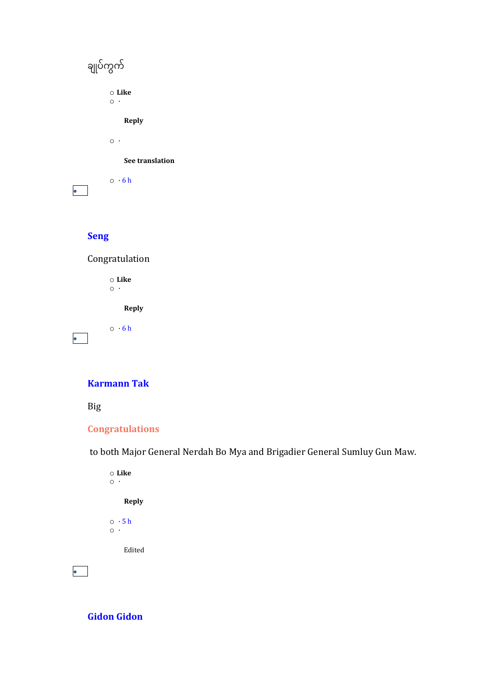| ချုပ်ကွက်                 |
|---------------------------|
| $\circ$ Like<br>$\circ$ . |
| <b>Reply</b>              |
| $\circ\cdot$              |
| See translation           |
| $\circ$ $\cdot$ 6 h       |

# **[Seng](https://www.facebook.com/senghkumn?comment_id=Y29tbWVudDoxMzI2NTgxOTI0Mjk3MDFfMTMzMzAyMjY5MDMxOTYw&__cft__%5b0%5d=AZWLQq9vxWl5LHjecCSjhojO8asaMS4rW2i6qf9kN3_-7zKNQFdR0UynOBzRWU9S46SXybhQ5PrD-9V56unRIjz_70x7yRuwAzzRhFTqrnZSzWeUzKOQcm4OWwysOAoCRxU&__tn__=R%5d-R)**

Congratulation

o **Like**  $\overline{\phantom{0}}$ 

**Reply**

 $\circ$   $\cdot$  [6](https://www.facebook.com/permalink.php?story_fbid=132658192429701&id=100070565614277&comment_id=133302269031960&__cft__%5b0%5d=AZWLQq9vxWl5LHjecCSjhojO8asaMS4rW2i6qf9kN3_-7zKNQFdR0UynOBzRWU9S46SXybhQ5PrD-9V56unRIjz_70x7yRuwAzzRhFTqrnZSzWeUzKOQcm4OWwysOAoCRxU&__tn__=R%5d-R) h •

#### **[Karmann](https://www.facebook.com/lahpai.mann?comment_id=Y29tbWVudDoxMzI2NTgxOTI0Mjk3MDFfMTMzMzA0NjQ1Njk4Mzg5&__cft__%5b0%5d=AZWLQq9vxWl5LHjecCSjhojO8asaMS4rW2i6qf9kN3_-7zKNQFdR0UynOBzRWU9S46SXybhQ5PrD-9V56unRIjz_70x7yRuwAzzRhFTqrnZSzWeUzKOQcm4OWwysOAoCRxU&__tn__=R%5d-R) Tak**

Big

# **Congratulations**

to both Major General Nerdah Bo Mya and Brigadier General Sumluy Gun Maw.

| ⊙ Like              |
|---------------------|
| ٠                   |
| <b>Reply</b>        |
| $\circ$ $\cdot$ 5 h |
|                     |
| Edited              |
|                     |

**Gidon [Gidon](https://www.facebook.com/gidon.gidon.33671?comment_id=Y29tbWVudDoxMzI2NTgxOTI0Mjk3MDFfMTMzMzA5NjYyMzY0NTU0&__cft__%5b0%5d=AZWLQq9vxWl5LHjecCSjhojO8asaMS4rW2i6qf9kN3_-7zKNQFdR0UynOBzRWU9S46SXybhQ5PrD-9V56unRIjz_70x7yRuwAzzRhFTqrnZSzWeUzKOQcm4OWwysOAoCRxU&__tn__=R%5d-R)**

•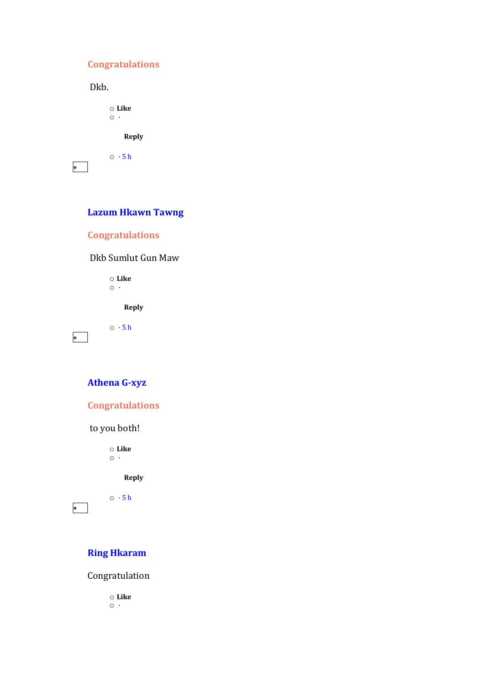# **Congratulations**

Dkb.

o **Like**  $\circ$   $\cdot$ **Reply**

 $\circ$   $\cdot$  [5](https://www.facebook.com/permalink.php?story_fbid=132658192429701&id=100070565614277&comment_id=133309662364554&__cft__%5b0%5d=AZWLQq9vxWl5LHjecCSjhojO8asaMS4rW2i6qf9kN3_-7zKNQFdR0UynOBzRWU9S46SXybhQ5PrD-9V56unRIjz_70x7yRuwAzzRhFTqrnZSzWeUzKOQcm4OWwysOAoCRxU&__tn__=R%5d-R) h

•

# **Lazum [Hkawn](https://www.facebook.com/profile.php?id=100014065691547&comment_id=Y29tbWVudDoxMzI2NTgxOTI0Mjk3MDFfMTMzMzA5OTU1Njk3ODU4&__cft__%5b0%5d=AZWLQq9vxWl5LHjecCSjhojO8asaMS4rW2i6qf9kN3_-7zKNQFdR0UynOBzRWU9S46SXybhQ5PrD-9V56unRIjz_70x7yRuwAzzRhFTqrnZSzWeUzKOQcm4OWwysOAoCRxU&__tn__=R%5d-R) Tawng**

**Congratulations**

Dkb Sumlut Gun Maw

o **Like**  $\circ \cdot$ 

**Reply**

 $\circ$   $\cdot$  [5](https://www.facebook.com/permalink.php?story_fbid=132658192429701&id=100070565614277&comment_id=133309955697858&__cft__%5b0%5d=AZWLQq9vxWl5LHjecCSjhojO8asaMS4rW2i6qf9kN3_-7zKNQFdR0UynOBzRWU9S46SXybhQ5PrD-9V56unRIjz_70x7yRuwAzzRhFTqrnZSzWeUzKOQcm4OWwysOAoCRxU&__tn__=R%5d-R) h

•

•

# **[Athena](https://www.facebook.com/wahwah.aung.988?comment_id=Y29tbWVudDoxMzI2NTgxOTI0Mjk3MDFfMTMzMzExMjM5MDMxMDYz&__cft__%5b0%5d=AZWLQq9vxWl5LHjecCSjhojO8asaMS4rW2i6qf9kN3_-7zKNQFdR0UynOBzRWU9S46SXybhQ5PrD-9V56unRIjz_70x7yRuwAzzRhFTqrnZSzWeUzKOQcm4OWwysOAoCRxU&__tn__=R%5d-R) G-xyz**



to you both!

o **Like**  $\circ$   $\cdot$ 

**Reply**

 $\circ$   $\cdot$  [5](https://www.facebook.com/permalink.php?story_fbid=132658192429701&id=100070565614277&comment_id=133311239031063&__cft__%5b0%5d=AZWLQq9vxWl5LHjecCSjhojO8asaMS4rW2i6qf9kN3_-7zKNQFdR0UynOBzRWU9S46SXybhQ5PrD-9V56unRIjz_70x7yRuwAzzRhFTqrnZSzWeUzKOQcm4OWwysOAoCRxU&__tn__=R%5d-R) h

# **Ring [Hkaram](https://www.facebook.com/ring.hkaram.7?comment_id=Y29tbWVudDoxMzI2NTgxOTI0Mjk3MDFfMTMzMzE1NDI1Njk3MzEx&__cft__%5b0%5d=AZWLQq9vxWl5LHjecCSjhojO8asaMS4rW2i6qf9kN3_-7zKNQFdR0UynOBzRWU9S46SXybhQ5PrD-9V56unRIjz_70x7yRuwAzzRhFTqrnZSzWeUzKOQcm4OWwysOAoCRxU&__tn__=R%5d-R)**

Congratulation

o **Like**  $\circ$   $\cdot$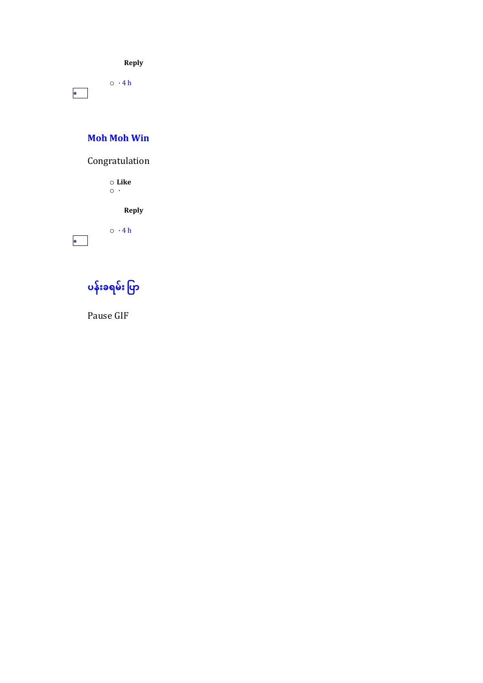**Reply**

 $\circ$   $\cdot$  [4](https://www.facebook.com/permalink.php?story_fbid=132658192429701&id=100070565614277&comment_id=133315425697311&__cft__%5b0%5d=AZWLQq9vxWl5LHjecCSjhojO8asaMS4rW2i6qf9kN3_-7zKNQFdR0UynOBzRWU9S46SXybhQ5PrD-9V56unRIjz_70x7yRuwAzzRhFTqrnZSzWeUzKOQcm4OWwysOAoCRxU&__tn__=R%5d-R) h •

#### **[Moh](https://www.facebook.com/mohmoh.win.965?comment_id=Y29tbWVudDoxMzI2NTgxOTI0Mjk3MDFfMTMzMzE4MjIyMzYzNjk4&__cft__%5b0%5d=AZWLQq9vxWl5LHjecCSjhojO8asaMS4rW2i6qf9kN3_-7zKNQFdR0UynOBzRWU9S46SXybhQ5PrD-9V56unRIjz_70x7yRuwAzzRhFTqrnZSzWeUzKOQcm4OWwysOAoCRxU&__tn__=R%5d-R) Moh Win**

Congratulation

o **Like**  $\circ$  ·

**Reply**

 $\circ$   $\cdot$  [4](https://www.facebook.com/permalink.php?story_fbid=132658192429701&id=100070565614277&comment_id=133318222363698&__cft__%5b0%5d=AZWLQq9vxWl5LHjecCSjhojO8asaMS4rW2i6qf9kN3_-7zKNQFdR0UynOBzRWU9S46SXybhQ5PrD-9V56unRIjz_70x7yRuwAzzRhFTqrnZSzWeUzKOQcm4OWwysOAoCRxU&__tn__=R%5d-R) h

•

**[ပန ်းခရမ ်း](https://www.facebook.com/profile.php?id=100067606000038&comment_id=Y29tbWVudDoxMzI2NTgxOTI0Mjk3MDFfMTMzMzE4NjAyMzYzNjYw&__cft__%5b0%5d=AZWLQq9vxWl5LHjecCSjhojO8asaMS4rW2i6qf9kN3_-7zKNQFdR0UynOBzRWU9S46SXybhQ5PrD-9V56unRIjz_70x7yRuwAzzRhFTqrnZSzWeUzKOQcm4OWwysOAoCRxU&__tn__=R%5d-R) ပပြာ**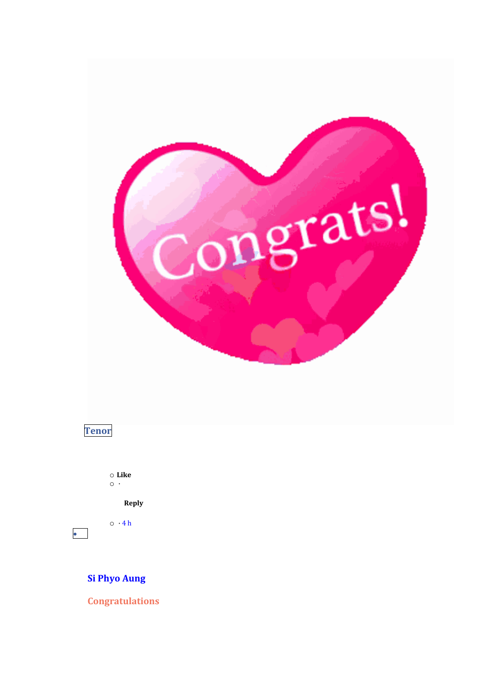



 $\bullet$ 

 $\circ$  Like  $\circ\cdot$ 

Reply

 $\circ$  ·4h

**Si Phyo Aung** 

**Congratulations**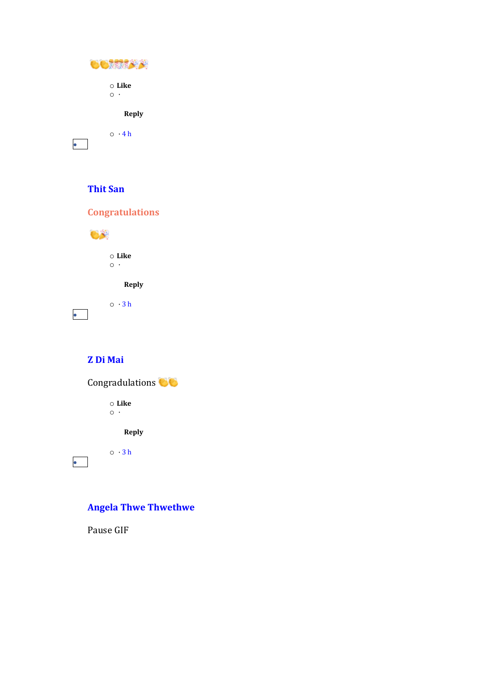| NG 6                    |
|-------------------------|
| $\circ$ Like<br>$\circ$ |
| <b>Reply</b>            |
| $\circ$ $\cdot$ 4 h     |

# **[Thit](https://www.facebook.com/thit.san.5030?comment_id=Y29tbWVudDoxMzI2NTgxOTI0Mjk3MDFfMTMzMzIwODg1Njk2NzY1&__cft__%5b0%5d=AZWLQq9vxWl5LHjecCSjhojO8asaMS4rW2i6qf9kN3_-7zKNQFdR0UynOBzRWU9S46SXybhQ5PrD-9V56unRIjz_70x7yRuwAzzRhFTqrnZSzWeUzKOQcm4OWwysOAoCRxU&__tn__=R%5d-R) San**

**Congratulations**



**Z Di [Mai](https://www.facebook.com/z.d.mai?comment_id=Y29tbWVudDoxMzI2NTgxOTI0Mjk3MDFfMTMzMzIxMjk5MDMwMDU3&__cft__%5b0%5d=AZWLQq9vxWl5LHjecCSjhojO8asaMS4rW2i6qf9kN3_-7zKNQFdR0UynOBzRWU9S46SXybhQ5PrD-9V56unRIjz_70x7yRuwAzzRhFTqrnZSzWeUzKOQcm4OWwysOAoCRxU&__tn__=R%5d-R)**



**Angela Thwe [Thwethwe](https://www.facebook.com/angelathwe.angelathwe?comment_id=Y29tbWVudDoxMzI2NTgxOTI0Mjk3MDFfMTMzMzIzMjY5MDI5ODYw&__cft__%5b0%5d=AZWLQq9vxWl5LHjecCSjhojO8asaMS4rW2i6qf9kN3_-7zKNQFdR0UynOBzRWU9S46SXybhQ5PrD-9V56unRIjz_70x7yRuwAzzRhFTqrnZSzWeUzKOQcm4OWwysOAoCRxU&__tn__=R%5d-R)**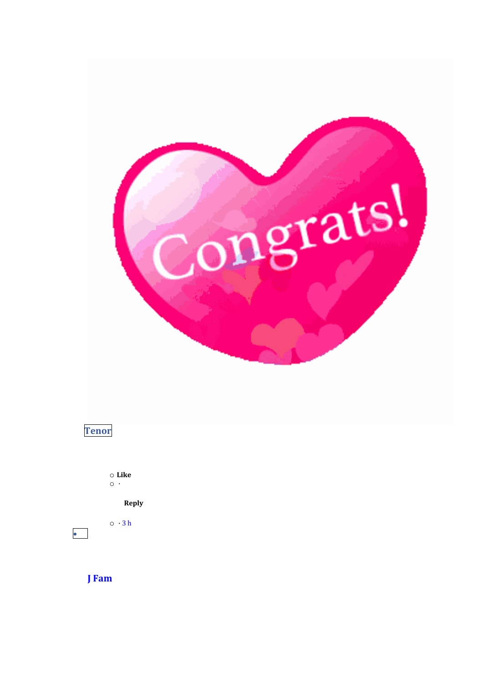



 $\circ$  Like  $\circ\, \cdot$ 

Reply

 $\circ$  · 3 h

**J** Fam

 $\bullet$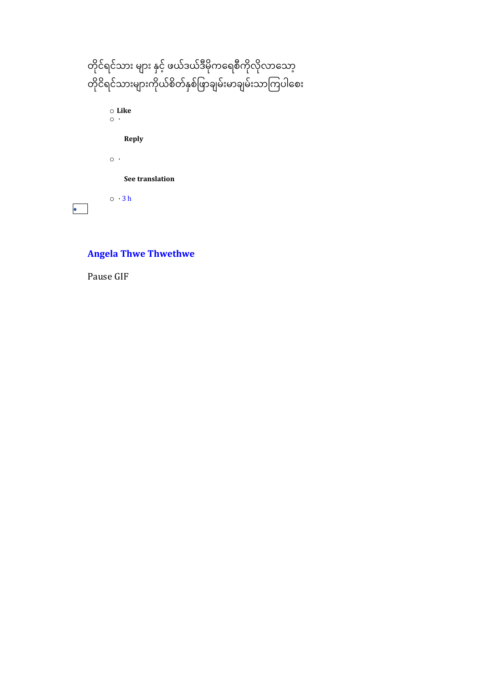| တိုင်ရင်သား များ နှင့် ဖယ်ဒယ်ဒီမိုကရေစီကိုလိုလာသော့  |
|------------------------------------------------------|
| တိုငိရင်သားများကိုယ်စိတ်နှစ်ဖြာချမ်းမာချမ်းသာကြပါစေး |
| ⊙ Like                                               |
|                                                      |
| Reply                                                |
| $\circ\cdot$                                         |
| See translation                                      |
| $\circ \cdot 3h$                                     |

# **Angela Thwe [Thwethwe](https://www.facebook.com/angelathwe.angelathwe?comment_id=Y29tbWVudDoxMzI2NTgxOTI0Mjk3MDFfMTMzMzIzMzA1Njk2NTIz&__cft__%5b0%5d=AZWLQq9vxWl5LHjecCSjhojO8asaMS4rW2i6qf9kN3_-7zKNQFdR0UynOBzRWU9S46SXybhQ5PrD-9V56unRIjz_70x7yRuwAzzRhFTqrnZSzWeUzKOQcm4OWwysOAoCRxU&__tn__=R%5d-R)**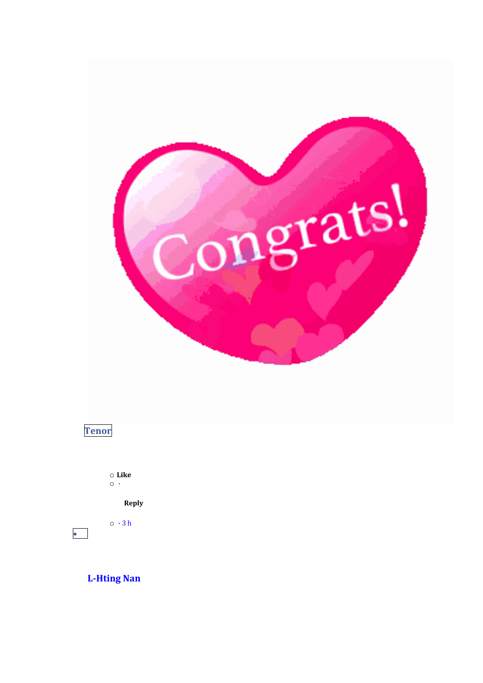

# **Tenor**

 $\bullet$ 

 $\circ$  Like  $\circ\;\cdot$ 

Reply

 $\circ$  · 3 h

**L-Hting Nan**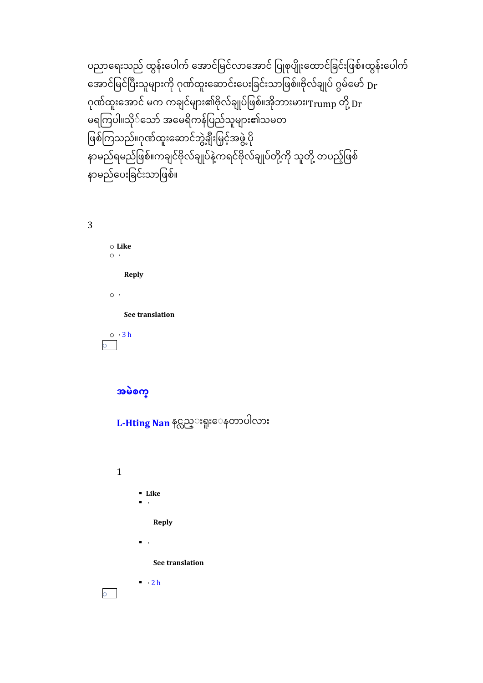ပညာရေးသည် ထွန်းပေါက် အောင်မြင်လာအောင် ပြုစုပျိုးထောင်ခြင်းဖြစ်။ထွန်းပေါက် အောင်မြင်ပြီးသူများကို ဂုဏ်ထူးဆောင်းပေးခြင်းသာဖြစ်။ဗိုလ်ချုပ် ဂွမ်မော်  $_{\rm Dr}$ ဂုဏ်ထူးအောင် မက ကချင်များ၏ဗိုလ်ချုပ်ဖြစ်။အိုဘားမား၊ $_{\rm{Trump}}$  တို့  $_{\rm{F}}$ ာ<br>မရကြပါ။သို််သော် အမေရိကန်ပြည်သူများ၏သမတ ဖြစ်ကြသည်။ဂုဏ်ထူးဆောင်ဘွဲ့ချီးမြှင့်အဖွဲ့ ပို  $\ddot{\phantom{a}}$ နာမည်ရမည်ဖြစ်။ကချင်ဗိုလ်ချုပ်နဲ့ကရင်ဗိုလ်ချုပ်တို့ကို သူတို့ တပည့်ဖြစ်  $\ddot{\phantom{a}}$ ို နာမည်ပေးခြင်းသာဖြစ်။

3

o **Like**  $\circ$  ·

**Reply**

 $\circ$  ·

**See translation**

 $\circ$   $\cdot$  [3](https://www.facebook.com/permalink.php?story_fbid=132658192429701&id=100070565614277&comment_id=133326259029561&__cft__%5b0%5d=AZWLQq9vxWl5LHjecCSjhojO8asaMS4rW2i6qf9kN3_-7zKNQFdR0UynOBzRWU9S46SXybhQ5PrD-9V56unRIjz_70x7yRuwAzzRhFTqrnZSzWeUzKOQcm4OWwysOAoCRxU&__tn__=R%5d-R) h o

**[အမဲစက္](https://www.facebook.com/profile.php?id=100035355024006&comment_id=Y29tbWVudDoxMzI2NTgxOTI0Mjk3MDFfMTMzMzI4OTA5MDI5Mjk2&__cft__%5b0%5d=AZWLQq9vxWl5LHjecCSjhojO8asaMS4rW2i6qf9kN3_-7zKNQFdR0UynOBzRWU9S46SXybhQ5PrD-9V56unRIjz_70x7yRuwAzzRhFTqrnZSzWeUzKOQcm4OWwysOAoCRxU&__tn__=R%5d-R)**

**[L-Hting](https://www.facebook.com/lhting.nan.3?__cft__%5b0%5d=AZWLQq9vxWl5LHjecCSjhojO8asaMS4rW2i6qf9kN3_-7zKNQFdR0UynOBzRWU9S46SXybhQ5PrD-9V56unRIjz_70x7yRuwAzzRhFTqrnZSzWeUzKOQcm4OWwysOAoCRxU&__tn__=R%5d-R) Nan** နင္လည္းရူးေနတာပါလား

1

▪ **Like**

▪ ·

**Reply**

▪ ·

**See translation**

 $\cdot$  [2](https://www.facebook.com/permalink.php?story_fbid=132658192429701&id=100070565614277&comment_id=133326259029561&reply_comment_id=133328909029296&__cft__%5b0%5d=AZWLQq9vxWl5LHjecCSjhojO8asaMS4rW2i6qf9kN3_-7zKNQFdR0UynOBzRWU9S46SXybhQ5PrD-9V56unRIjz_70x7yRuwAzzRhFTqrnZSzWeUzKOQcm4OWwysOAoCRxU&__tn__=R%5d-R) h

o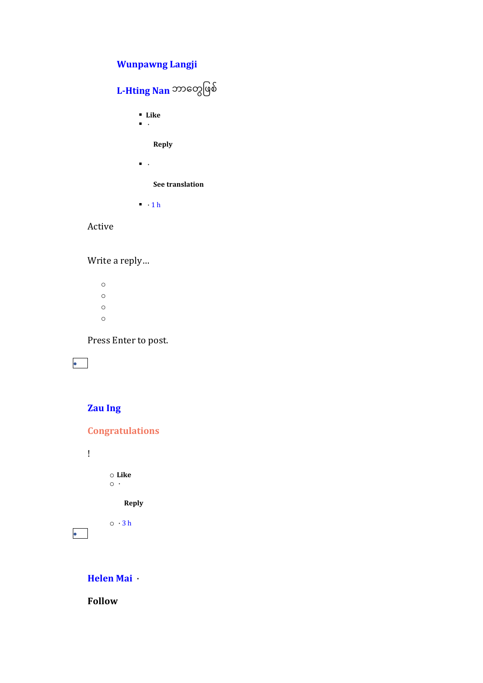# **[Wunpawng](https://www.facebook.com/gu.brang.790?comment_id=Y29tbWVudDoxMzI2NTgxOTI0Mjk3MDFfMTMzMzQzMDA5MDI3ODg2&__cft__%5b0%5d=AZWLQq9vxWl5LHjecCSjhojO8asaMS4rW2i6qf9kN3_-7zKNQFdR0UynOBzRWU9S46SXybhQ5PrD-9V56unRIjz_70x7yRuwAzzRhFTqrnZSzWeUzKOQcm4OWwysOAoCRxU&__tn__=R%5d-R) Langji**

# **[L-Hting](https://www.facebook.com/lhting.nan.3?__cft__%5b0%5d=AZWLQq9vxWl5LHjecCSjhojO8asaMS4rW2i6qf9kN3_-7zKNQFdR0UynOBzRWU9S46SXybhQ5PrD-9V56unRIjz_70x7yRuwAzzRhFTqrnZSzWeUzKOQcm4OWwysOAoCRxU&__tn__=R%5d-R) Nan** ဘာရတွဖဖစ် ▪ **Like** ▪ · **Reply**  $\blacksquare$  . **See translation**

 $\blacksquare$   $\blacksquare$  [1](https://www.facebook.com/permalink.php?story_fbid=132658192429701&id=100070565614277&comment_id=133326259029561&reply_comment_id=133343009027886&__cft__%5b0%5d=AZWLQq9vxWl5LHjecCSjhojO8asaMS4rW2i6qf9kN3_-7zKNQFdR0UynOBzRWU9S46SXybhQ5PrD-9V56unRIjz_70x7yRuwAzzRhFTqrnZSzWeUzKOQcm4OWwysOAoCRxU&__tn__=R%5d-R) h

#### Active

Write a reply…

o o o o

Press Enter to post.

•

# **[Zau](https://www.facebook.com/zau.ing.963?comment_id=Y29tbWVudDoxMzI2NTgxOTI0Mjk3MDFfMTMzMzI2NjQ1Njk2MTg5&__cft__%5b0%5d=AZWLQq9vxWl5LHjecCSjhojO8asaMS4rW2i6qf9kN3_-7zKNQFdR0UynOBzRWU9S46SXybhQ5PrD-9V56unRIjz_70x7yRuwAzzRhFTqrnZSzWeUzKOQcm4OWwysOAoCRxU&__tn__=R%5d-R) Ing**

!

•

**Congratulations**

o **Like**

 $\circ$   $\cdot$ 

**Reply**

 $\circ$   $\cdot$  [3](https://www.facebook.com/permalink.php?story_fbid=132658192429701&id=100070565614277&comment_id=133326645696189&__cft__%5b0%5d=AZWLQq9vxWl5LHjecCSjhojO8asaMS4rW2i6qf9kN3_-7zKNQFdR0UynOBzRWU9S46SXybhQ5PrD-9V56unRIjz_70x7yRuwAzzRhFTqrnZSzWeUzKOQcm4OWwysOAoCRxU&__tn__=R%5d-R) h

**[Helen](https://www.facebook.com/mai.mai.904108?comment_id=Y29tbWVudDoxMzI2NTgxOTI0Mjk3MDFfMTMzMzI4NTkyMzYyNjYx&__cft__%5b0%5d=AZWLQq9vxWl5LHjecCSjhojO8asaMS4rW2i6qf9kN3_-7zKNQFdR0UynOBzRWU9S46SXybhQ5PrD-9V56unRIjz_70x7yRuwAzzRhFTqrnZSzWeUzKOQcm4OWwysOAoCRxU&__tn__=R%5d-R) Mai** ·

**Follow**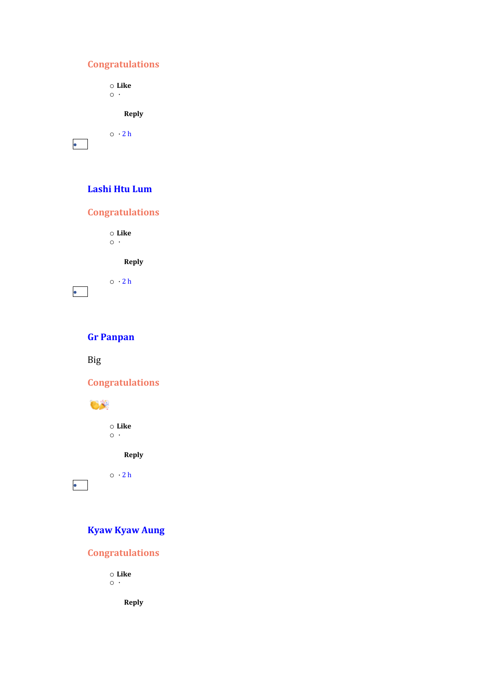# **Congratulations**

o **Like**  $\circ$  ·

**Reply**

 $\circ$   $\cdot$  [2](https://www.facebook.com/permalink.php?story_fbid=132658192429701&id=100070565614277&comment_id=133328592362661&__cft__%5b0%5d=AZWLQq9vxWl5LHjecCSjhojO8asaMS4rW2i6qf9kN3_-7zKNQFdR0UynOBzRWU9S46SXybhQ5PrD-9V56unRIjz_70x7yRuwAzzRhFTqrnZSzWeUzKOQcm4OWwysOAoCRxU&__tn__=R%5d-R) h

•

#### **[Lashi](https://www.facebook.com/lashi.salum?comment_id=Y29tbWVudDoxMzI2NTgxOTI0Mjk3MDFfMTMzMzI5Mzg1Njk1OTE1&__cft__%5b0%5d=AZWLQq9vxWl5LHjecCSjhojO8asaMS4rW2i6qf9kN3_-7zKNQFdR0UynOBzRWU9S46SXybhQ5PrD-9V56unRIjz_70x7yRuwAzzRhFTqrnZSzWeUzKOQcm4OWwysOAoCRxU&__tn__=R%5d-R) Htu Lum**

# **Congratulations**

o **Like**  $\circ$   $\cdot$ 

 $\circ$   $\cdot$  [2](https://www.facebook.com/permalink.php?story_fbid=132658192429701&id=100070565614277&comment_id=133329385695915&__cft__%5b0%5d=AZWLQq9vxWl5LHjecCSjhojO8asaMS4rW2i6qf9kN3_-7zKNQFdR0UynOBzRWU9S46SXybhQ5PrD-9V56unRIjz_70x7yRuwAzzRhFTqrnZSzWeUzKOQcm4OWwysOAoCRxU&__tn__=R%5d-R) h

**Reply**

•

# **Gr [Panpan](https://www.facebook.com/gr.panpan?comment_id=Y29tbWVudDoxMzI2NTgxOTI0Mjk3MDFfMTMzMzMwNzUyMzYyNDQ1&__cft__%5b0%5d=AZWLQq9vxWl5LHjecCSjhojO8asaMS4rW2i6qf9kN3_-7zKNQFdR0UynOBzRWU9S46SXybhQ5PrD-9V56unRIjz_70x7yRuwAzzRhFTqrnZSzWeUzKOQcm4OWwysOAoCRxU&__tn__=R%5d-R)**

Big

**Congratulations**



•

o **Like**  $\circ$  ·

**Reply**

 $\circ \cdot 2h$  $\circ \cdot 2h$  $\circ \cdot 2h$ 

# **[Kyaw](https://www.facebook.com/profile.php?id=100043085641448&comment_id=Y29tbWVudDoxMzI2NTgxOTI0Mjk3MDFfMTMzMzMxOTk5MDI4OTg3&__cft__%5b0%5d=AZWLQq9vxWl5LHjecCSjhojO8asaMS4rW2i6qf9kN3_-7zKNQFdR0UynOBzRWU9S46SXybhQ5PrD-9V56unRIjz_70x7yRuwAzzRhFTqrnZSzWeUzKOQcm4OWwysOAoCRxU&__tn__=R%5d-R) Kyaw Aung**

**Congratulations**

o **Like**  $\circ$   $\cdot$ 

**Reply**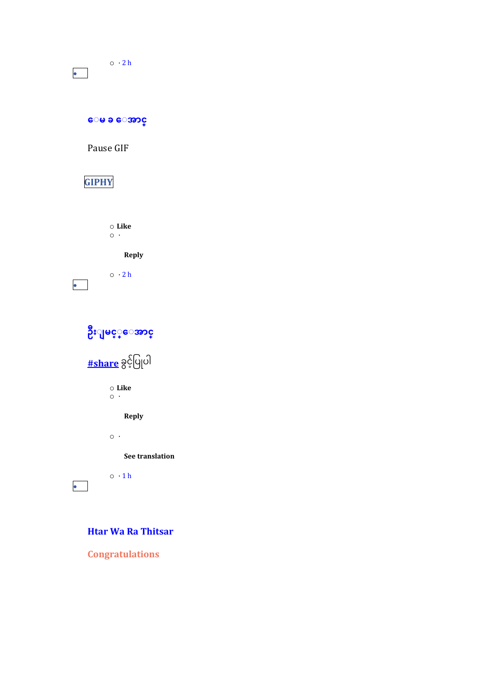| $\circ \cdot 2h$ |  |
|------------------|--|
|                  |  |

**ေ မ ခ [ေ အြာင္](https://www.facebook.com/mimiaung.mimiaung.54?comment_id=Y29tbWVudDoxMzI2NTgxOTI0Mjk3MDFfMTMzMzM0NTY1Njk1Mzk3&__cft__%5b0%5d=AZWLQq9vxWl5LHjecCSjhojO8asaMS4rW2i6qf9kN3_-7zKNQFdR0UynOBzRWU9S46SXybhQ5PrD-9V56unRIjz_70x7yRuwAzzRhFTqrnZSzWeUzKOQcm4OWwysOAoCRxU&__tn__=R%5d-R)**

Pause GIF

# **[GIPHY](https://l.facebook.com/l.php?u=https%3A%2F%2Fmedia0.giphy.com%2Fmedia%2Fv1.Y2lkPTEyMGMwMTQ3cnNqeXBjY2Jvdm9pOW0wYW05MDhuc3E2NzV1cHp4Y3Vwc2JpYjczbA%2F1O1UUSESiuGSi1VdT6%2Fgiphy.gif%3Ffbclid%3DIwAR226bKq7jZnCj1D33ikqZFxiGIhh-K_NpMXeVwAI9CW7aiK42xyqSERipc&h=AT1NY9B-KRZIE9JSNDDrfYMtRBH89xNmwrGMXrZMZkIJJrfuz4YRcyF6PBeGpJum2ZP-b33vsjeVbp2XhrBHJzONfE5wgknJH0YxdvkclVzP_NIFp6V8nKe3R19ouZ6rXQkVeoVagwJhT1g&__tn__=R%5d-R&c%5b0%5d=AT2N4C8q_QDVq81ktwHiTBSmXUwUHjI-hDM47kROtY3666wJe2ncSEh5_Z4QuPzz01RAz7WKIbPNSEATTae-0YlgD-b_6HhIc9IA74yqV9cU3vdBDFYCxKwpaMcjAGgKuW6gHv1jmcg-uzEB7kWc6GG0)**

o **Like**  $\circ$  ·

**Reply**



**[ဦ်း မင ့](https://www.facebook.com/profile.php?id=100047824811967&comment_id=Y29tbWVudDoxMzI2NTgxOTI0Mjk3MDFfMTMzMzM2ODUyMzYxODM1&__cft__%5b0%5d=AZWLQq9vxWl5LHjecCSjhojO8asaMS4rW2i6qf9kN3_-7zKNQFdR0UynOBzRWU9S46SXybhQ5PrD-9V56unRIjz_70x7yRuwAzzRhFTqrnZSzWeUzKOQcm4OWwysOAoCRxU&__tn__=R%5d-R) ္ေ အြာင္**



o **Like**  $\circ$   $\cdot$ 

**Reply**

 $\circ$   $\cdot$ 

**See translation**

 $\circ \cdot 1 h$  $\circ \cdot 1 h$  $\circ \cdot 1 h$ 

•

### **Htar Wa Ra [Thitsar](https://www.facebook.com/profile.php?id=100072205596031&comment_id=Y29tbWVudDoxMzI2NTgxOTI0Mjk3MDFfMTMzMzQxMDc5MDI4MDc5&__cft__%5b0%5d=AZWLQq9vxWl5LHjecCSjhojO8asaMS4rW2i6qf9kN3_-7zKNQFdR0UynOBzRWU9S46SXybhQ5PrD-9V56unRIjz_70x7yRuwAzzRhFTqrnZSzWeUzKOQcm4OWwysOAoCRxU&__tn__=R%5d-R)**

**Congratulations**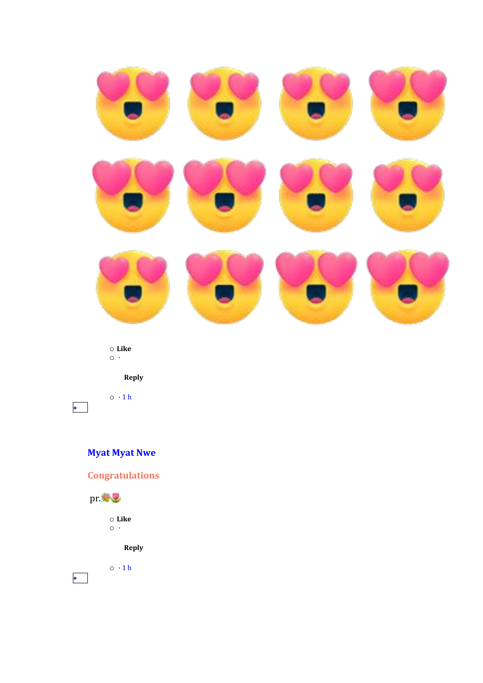

 $\circ$  Like  $\circ \cdot$ 

Reply

 $\circ$  · 1 h

 $\bullet$ 

# **Myat Myat Nwe**

**Congratulations** 



 $\circ$  Like  $\circ$ 

Reply

 $\circ$  ·1h  $\bullet$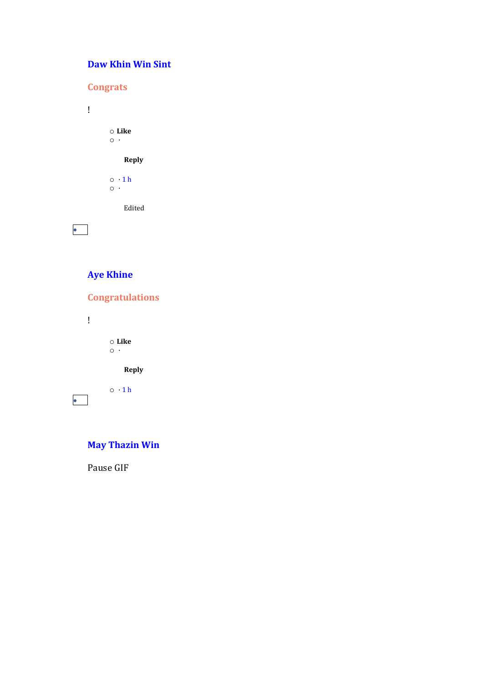# **Daw Khin Win Sint**

**Congrats**  $\mathbf{I}$  $\circ$  Like  $\circ \cdot$ Reply  $\circ$   $\cdot$  1 h Edited  $\bullet$ 

# **Aye Khine**

**Congratulations**  $\mathbf{I}$  $\circ$  Like  $\circ$  . Reply  $\circ \cdot 1$  h  $\bullet$ 

# **May Thazin Win**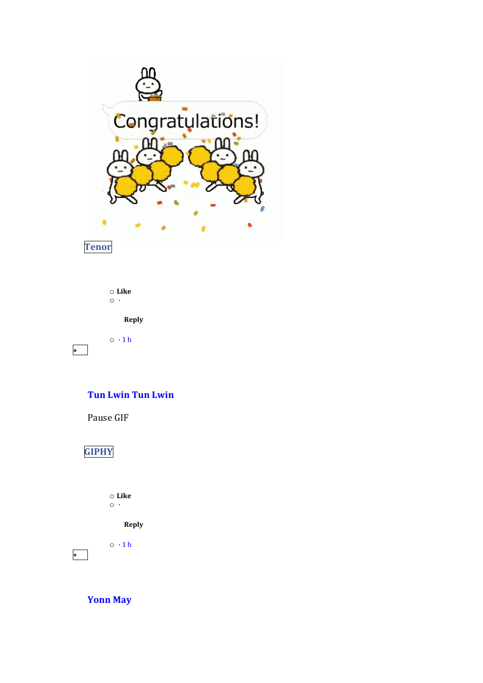

Tenor

 $\bullet$ 

 $\circ$  Like  $\circ\cdot$ Reply  $\circ \cdot 1$  h

### **Tun Lwin Tun Lwin**

Pause GIF

# **GIPHY**

 $\circ$  Like  $\circ \cdot$ 

Reply

 $\circ$   $\cdot$  1 h

**Yonn May** 

 $\bullet$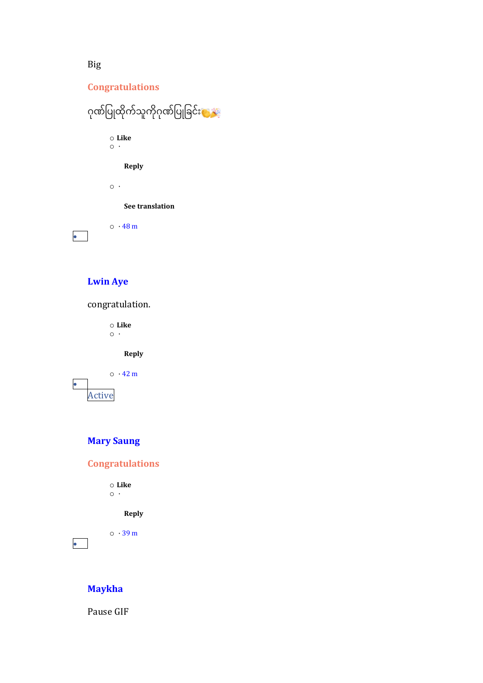#### **Congratulations**



# **[Lwin](https://www.facebook.com/lwin.aye.359126?comment_id=Y29tbWVudDoxMzI2NTgxOTI0Mjk3MDFfMTMzMzUwMjIyMzYwNDk4&__cft__%5b0%5d=AZWLQq9vxWl5LHjecCSjhojO8asaMS4rW2i6qf9kN3_-7zKNQFdR0UynOBzRWU9S46SXybhQ5PrD-9V56unRIjz_70x7yRuwAzzRhFTqrnZSzWeUzKOQcm4OWwysOAoCRxU&__tn__=R%5d-R) Aye**

# congratulation.

o **Like**  $\circ$  ·

**Reply**



# **Mary [Saung](https://www.facebook.com/mary.hniangsung?comment_id=Y29tbWVudDoxMzI2NTgxOTI0Mjk3MDFfMTMzMzUxMDMyMzYwNDE3&__cft__%5b0%5d=AZWLQq9vxWl5LHjecCSjhojO8asaMS4rW2i6qf9kN3_-7zKNQFdR0UynOBzRWU9S46SXybhQ5PrD-9V56unRIjz_70x7yRuwAzzRhFTqrnZSzWeUzKOQcm4OWwysOAoCRxU&__tn__=R%5d-R)**

#### **Congratulations**

o **Like**  $\circ \cdot$ 

#### **Reply**

 $\circ$   $\cdot$  [39](https://www.facebook.com/permalink.php?story_fbid=132658192429701&id=100070565614277&comment_id=133351032360417&__cft__%5b0%5d=AZWLQq9vxWl5LHjecCSjhojO8asaMS4rW2i6qf9kN3_-7zKNQFdR0UynOBzRWU9S46SXybhQ5PrD-9V56unRIjz_70x7yRuwAzzRhFTqrnZSzWeUzKOQcm4OWwysOAoCRxU&__tn__=R%5d-R) m

•

#### **[Maykha](https://www.facebook.com/maykha.maykha.7311?comment_id=Y29tbWVudDoxMzI2NTgxOTI0Mjk3MDFfMTMzMzUxNDc1NjkzNzA2&__cft__%5b0%5d=AZWLQq9vxWl5LHjecCSjhojO8asaMS4rW2i6qf9kN3_-7zKNQFdR0UynOBzRWU9S46SXybhQ5PrD-9V56unRIjz_70x7yRuwAzzRhFTqrnZSzWeUzKOQcm4OWwysOAoCRxU&__tn__=R%5d-R)**

Pause GIF

Big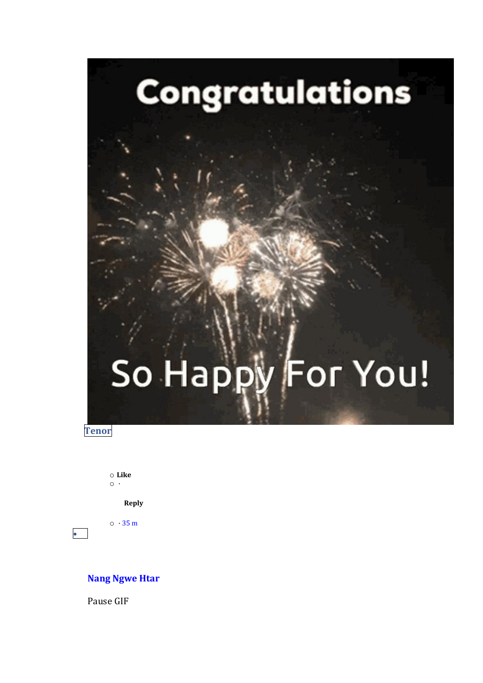# So Happy For You!

Congratulations

**Tenor** 

 $\bullet$ 

 $\circ$  Like  $\circ \cdot$ 

Reply

 $\circ$  · 35 m

#### **Nang Ngwe Htar**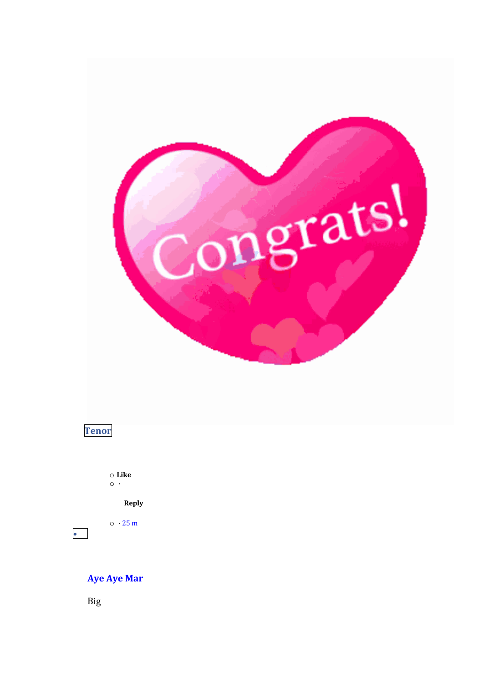



 $\circ$  Like  $\circ\cdot$ 

Reply

 $\circ$   $\cdot$  25 m

# **Aye Aye Mar**

**Big** 

 $\bullet$